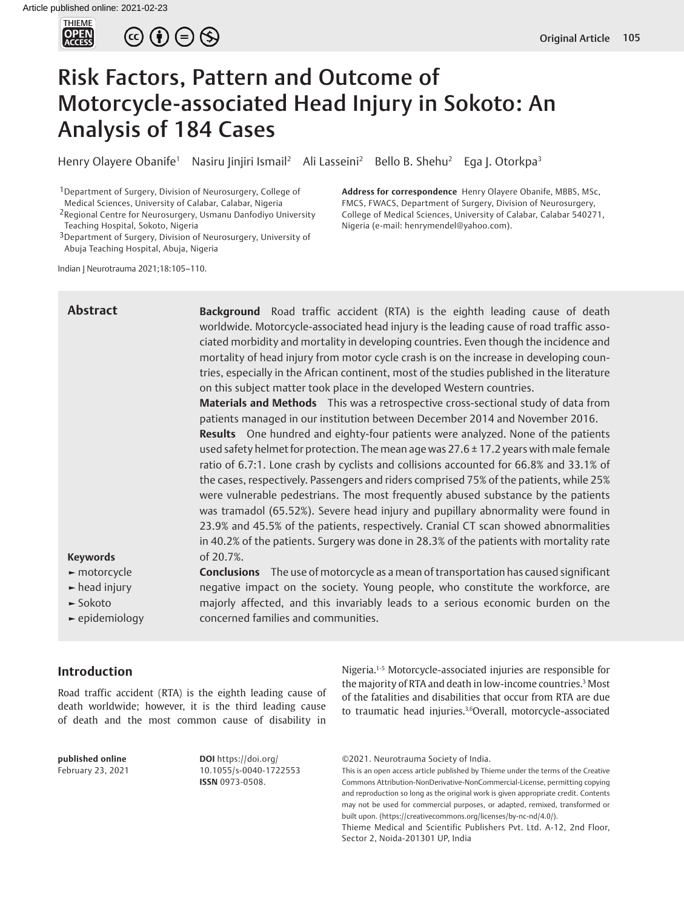

 $\circledcirc \oplus \circledcirc$ 

# Risk Factors, Pattern and Outcome of Motorcycle-associated Head Injury in Sokoto: An Analysis of 184 Cases

Henry Olayere Obanife<sup>1</sup> Nasiru Jinjiri Ismail<sup>2</sup> Ali Lasseini<sup>2</sup> Bello B. Shehu<sup>2</sup> Ega J. Otorkpa<sup>3</sup>

<sup>1</sup> Department of Surgery, Division of Neurosurgery, College of Medical Sciences, University of Calabar, Calabar, Nigeria

2Regional Centre for Neurosurgery, Usmanu Danfodiyo University Teaching Hospital, Sokoto, Nigeria

3Department of Surgery, Division of Neurosurgery, University of Abuja Teaching Hospital, Abuja, Nigeria

**Address for correspondence** Henry Olayere Obanife, MBBS, MSc, FMCS, FWACS, Department of Surgery, Division of Neurosurgery, College of Medical Sciences, University of Calabar, Calabar 540271, Nigeria (e-mail: henrymendel@yahoo.com).

Indian J Neurotrauma 2021;18:105–110.

## **Abstract**

**Background** Road traffic accident (RTA) is the eighth leading cause of death worldwide. Motorcycle-associated head injury is the leading cause of road traffic associated morbidity and mortality in developing countries. Even though the incidence and mortality of head injury from motor cycle crash is on the increase in developing countries, especially in the African continent, most of the studies published in the literature on this subject matter took place in the developed Western countries.

**Materials and Methods** This was a retrospective cross-sectional study of data from patients managed in our institution between December 2014 and November 2016.

**Results** One hundred and eighty-four patients were analyzed. None of the patients used safety helmet for protection. The mean age was 27.6  $\pm$  17.2 years with male female ratio of 6.7:1. Lone crash by cyclists and collisions accounted for 66.8% and 33.1% of the cases, respectively. Passengers and riders comprised 75% of the patients, while 25% were vulnerable pedestrians. The most frequently abused substance by the patients was tramadol (65.52%). Severe head injury and pupillary abnormality were found in 23.9% and 45.5% of the patients, respectively. Cranial CT scan showed abnormalities in 40.2% of the patients. Surgery was done in 28.3% of the patients with mortality rate of 20.7%.

#### **Keywords**

- **►** motorcycle
- **►** head injury
- **►** Sokoto
- **►** epidemiology

**Conclusions** The use of motorcycle as a mean of transportation has caused significant negative impact on the society. Young people, who constitute the workforce, are majorly affected, and this invariably leads to a serious economic burden on the concerned families and communities.

## **Introduction**

Road traffic accident (RTA) is the eighth leading cause of death worldwide; however, it is the third leading cause of death and the most common cause of disability in

**published online**  February 23, 2021 **DOI** https://doi.org/ 10.1055/s-0040-1722553 **ISSN** 0973-0508.

Nigeria.1-5 Motorcycle-associated injuries are responsible for the majority of RTA and death in low-income countries.3 Most of the fatalities and disabilities that occur from RTA are due to traumatic head injuries.3,6 Overall, motorcycle-associated

©2021. Neurotrauma Society of India.

This is an open access article published by Thieme under the terms of the Creative Commons Attribution-NonDerivative-NonCommercial-License, permitting copying and reproduction so long as the original work is given appropriate credit. Contents may not be used for commercial purposes, or adapted, remixed, transformed or built upon. (https://creativecommons.org/licenses/by-nc-nd/4.0/).

Thieme Medical and Scientific Publishers Pvt. Ltd. A-12, 2nd Floor, Sector 2, Noida-201301 UP, India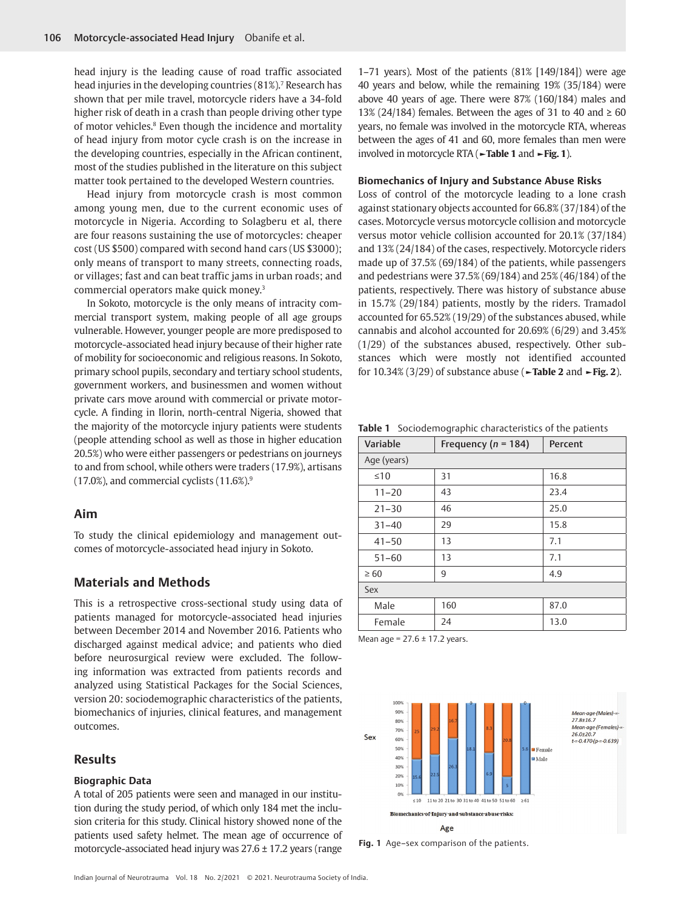head injury is the leading cause of road traffic associated head injuries in the developing countries (81%).7 Research has shown that per mile travel, motorcycle riders have a 34-fold higher risk of death in a crash than people driving other type of motor vehicles.<sup>8</sup> Even though the incidence and mortality of head injury from motor cycle crash is on the increase in the developing countries, especially in the African continent, most of the studies published in the literature on this subject matter took pertained to the developed Western countries.

Head injury from motorcycle crash is most common among young men, due to the current economic uses of motorcycle in Nigeria. According to Solagberu et al, there are four reasons sustaining the use of motorcycles: cheaper cost (US \$500) compared with second hand cars (US \$3000); only means of transport to many streets, connecting roads, or villages; fast and can beat traffic jams in urban roads; and commercial operators make quick money.3

In Sokoto, motorcycle is the only means of intracity commercial transport system, making people of all age groups vulnerable. However, younger people are more predisposed to motorcycle-associated head injury because of their higher rate of mobility for socioeconomic and religious reasons. In Sokoto, primary school pupils, secondary and tertiary school students, government workers, and businessmen and women without private cars move around with commercial or private motorcycle. A finding in Ilorin, north-central Nigeria, showed that the majority of the motorcycle injury patients were students (people attending school as well as those in higher education 20.5%) who were either passengers or pedestrians on journeys to and from school, while others were traders (17.9%), artisans  $(17.0\%)$ , and commercial cyclists  $(11.6\%)$ <sup>9</sup>

### **Aim**

To study the clinical epidemiology and management outcomes of motorcycle-associated head injury in Sokoto.

## **Materials and Methods**

This is a retrospective cross-sectional study using data of patients managed for motorcycle-associated head injuries between December 2014 and November 2016. Patients who discharged against medical advice; and patients who died before neurosurgical review were excluded. The following information was extracted from patients records and analyzed using Statistical Packages for the Social Sciences, version 20: sociodemographic characteristics of the patients, biomechanics of injuries, clinical features, and management outcomes.

## **Results**

#### **Biographic Data**

A total of 205 patients were seen and managed in our institution during the study period, of which only 184 met the inclusion criteria for this study. Clinical history showed none of the patients used safety helmet. The mean age of occurrence of motorcycle-associated head injury was 27.6 ± 17.2 years (range

1–71 years). Most of the patients (81% [149/184]) were age 40 years and below, while the remaining 19% (35/184) were above 40 years of age. There were 87% (160/184) males and 13% (24/184) females. Between the ages of 31 to 40 and  $\geq 60$ years, no female was involved in the motorcycle RTA, whereas between the ages of 41 and 60, more females than men were involved in motorcycle RTA (**►Table 1** and **►Fig. 1**).

#### **Biomechanics of Injury and Substance Abuse Risks**

Loss of control of the motorcycle leading to a lone crash against stationary objects accounted for 66.8% (37/184) of the cases. Motorcycle versus motorcycle collision and motorcycle versus motor vehicle collision accounted for 20.1% (37/184) and 13% (24/184) of the cases, respectively. Motorcycle riders made up of 37.5% (69/184) of the patients, while passengers and pedestrians were 37.5% (69/184) and 25% (46/184) of the patients, respectively. There was history of substance abuse in 15.7% (29/184) patients, mostly by the riders. Tramadol accounted for 65.52% (19/29) of the substances abused, while cannabis and alcohol accounted for 20.69% (6/29) and 3.45% (1/29) of the substances abused, respectively. Other substances which were mostly not identified accounted for 10.34% (3/29) of substance abuse (**►Table 2** and **►Fig. 2**).

**Table 1** Sociodemographic characteristics of the patients

| Variable    | Frequency ( $n = 184$ ) | Percent |
|-------------|-------------------------|---------|
| Age (years) |                         |         |
| $\leq 10$   | 31                      | 16.8    |
| $11 - 20$   | 43                      | 23.4    |
| $21 - 30$   | 46                      | 25.0    |
| $31 - 40$   | 29                      | 15.8    |
| $41 - 50$   | 13                      | 7.1     |
| $51 - 60$   | 13                      | 7.1     |
| $\geq 60$   | 9                       | 4.9     |
| Sex         |                         |         |
| Male        | 160                     | 87.0    |
| Female      | 24                      | 13.0    |

Mean age =  $27.6 \pm 17.2$  years.



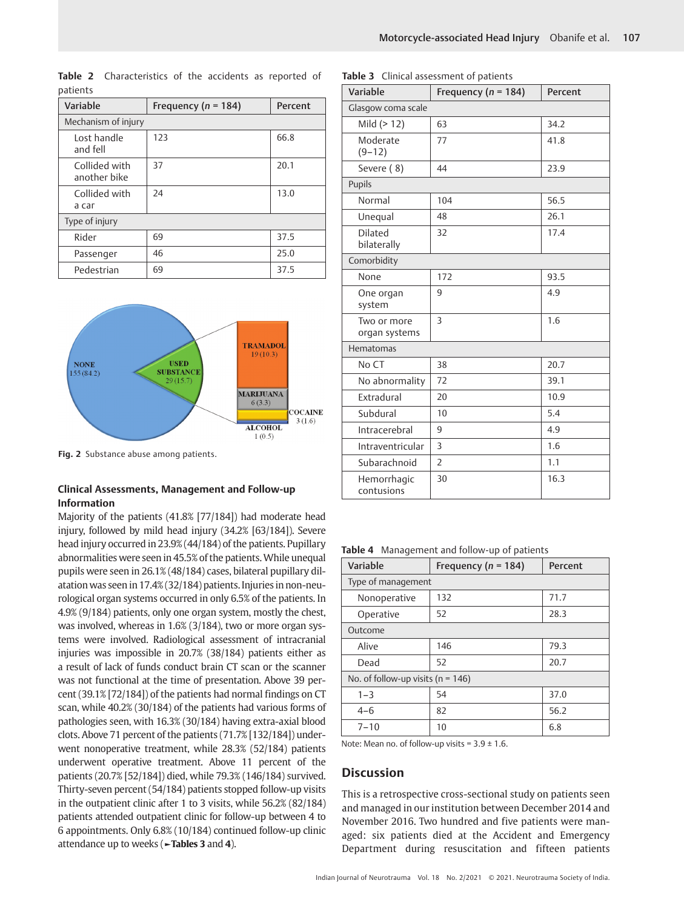| patititis                     |                         |         |  |  |
|-------------------------------|-------------------------|---------|--|--|
| Variable                      | Frequency ( $n = 184$ ) | Percent |  |  |
| Mechanism of injury           |                         |         |  |  |
| Lost handle<br>and fell       | 123                     | 66.8    |  |  |
| Collided with<br>another bike | 37                      | 20.1    |  |  |
| Collided with<br>a car        | 24                      | 13.0    |  |  |
| Type of injury                |                         |         |  |  |
| Rider                         | 69                      | 37.5    |  |  |
| Passenger                     | 46                      | 25.0    |  |  |
| Pedestrian                    | 69                      | 37.5    |  |  |

**Table 2** Characteristics of the accidents as reported of patients



**Fig. 2** Substance abuse among patients.

## **Clinical Assessments, Management and Follow-up Information**

Majority of the patients (41.8% [77/184]) had moderate head injury, followed by mild head injury (34.2% [63/184]). Severe head injury occurred in 23.9% (44/184) of the patients. Pupillary abnormalities were seen in 45.5% of the patients. While unequal pupils were seen in 26.1% (48/184) cases, bilateral pupillary dilatation was seen in 17.4% (32/184) patients. Injuries in non-neurological organ systems occurred in only 6.5% of the patients. In 4.9% (9/184) patients, only one organ system, mostly the chest, was involved, whereas in 1.6% (3/184), two or more organ systems were involved. Radiological assessment of intracranial injuries was impossible in 20.7% (38/184) patients either as a result of lack of funds conduct brain CT scan or the scanner was not functional at the time of presentation. Above 39 percent (39.1% [72/184]) of the patients had normal findings on CT scan, while 40.2% (30/184) of the patients had various forms of pathologies seen, with 16.3% (30/184) having extra-axial blood clots. Above 71 percent of the patients (71.7% [132/184]) underwent nonoperative treatment, while 28.3% (52/184) patients underwent operative treatment. Above 11 percent of the patients (20.7% [52/184]) died, while 79.3% (146/184) survived. Thirty-seven percent (54/184) patients stopped follow-up visits in the outpatient clinic after 1 to 3 visits, while 56.2% (82/184) patients attended outpatient clinic for follow-up between 4 to 6 appointments. Only 6.8% (10/184) continued follow-up clinic attendance up to weeks (**►Tables 3** and **4**).

| Variable                      | Frequency ( $n = 184$ ) | Percent |  |  |
|-------------------------------|-------------------------|---------|--|--|
| Glasgow coma scale            |                         |         |  |  |
| Mild (> 12)                   | 63                      | 34.2    |  |  |
| Moderate<br>$(9-12)$          | 77                      | 41.8    |  |  |
| Severe (8)                    | 44                      | 23.9    |  |  |
| Pupils                        |                         |         |  |  |
| Normal                        | 104                     | 56.5    |  |  |
| Unequal                       | 48                      | 26.1    |  |  |
| <b>Dilated</b><br>bilaterally | 32                      | 17.4    |  |  |
| Comorbidity                   |                         |         |  |  |
| None                          | 172                     | 93.5    |  |  |
| One organ<br>system           | 9                       | 4.9     |  |  |
| Two or more<br>organ systems  | 3                       | 1.6     |  |  |
| Hematomas                     |                         |         |  |  |
| No CT                         | 38                      | 20.7    |  |  |
| No abnormality                | 72                      | 39.1    |  |  |
| Extradural                    | 20                      | 10.9    |  |  |
| Subdural                      | 10                      | 5.4     |  |  |
| Intracerebral                 | 9                       | 4.9     |  |  |
| Intraventricular              | 3                       | 1.6     |  |  |
| Subarachnoid                  | $\overline{2}$          | 1.1     |  |  |
| Hemorrhagic<br>contusions     | 30                      | 16.3    |  |  |

**Table 3** Clinical assessment of patients

**Table 4** Management and follow-up of patients

| Variable                              | Frequency ( $n = 184$ ) | Percent |  |  |
|---------------------------------------|-------------------------|---------|--|--|
| Type of management                    |                         |         |  |  |
| Nonoperative                          | 132                     | 71.7    |  |  |
| Operative                             | 52                      | 28.3    |  |  |
| Outcome                               |                         |         |  |  |
| Alive                                 | 146                     | 79.3    |  |  |
| Dead                                  | 52                      | 20.7    |  |  |
| No. of follow-up visits ( $n = 146$ ) |                         |         |  |  |
| $1 - 3$                               | 54                      | 37.0    |  |  |
| $4 - 6$                               | 82                      | 56.2    |  |  |
| $7 - 10$                              | 10                      | 6.8     |  |  |

Note: Mean no. of follow-up visits =  $3.9 \pm 1.6$ .

## **Discussion**

This is a retrospective cross-sectional study on patients seen and managed in our institution between December 2014 and November 2016. Two hundred and five patients were managed: six patients died at the Accident and Emergency Department during resuscitation and fifteen patients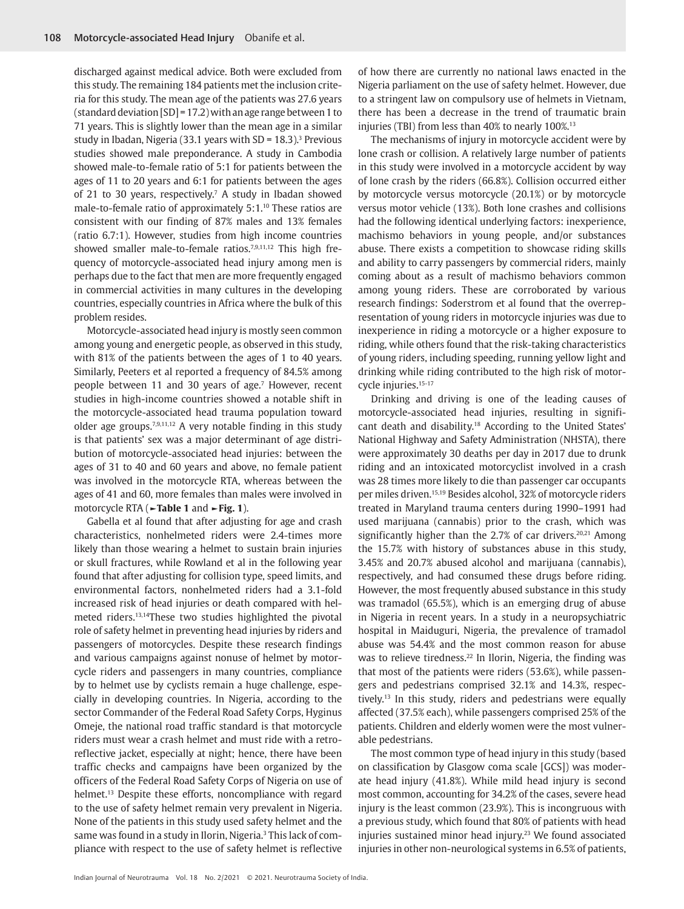discharged against medical advice. Both were excluded from this study. The remaining 184 patients met the inclusion criteria for this study. The mean age of the patients was 27.6 years (standard deviation [SD] = 17.2) with an age range between 1 to 71 years. This is slightly lower than the mean age in a similar study in Ibadan, Nigeria (33.1 years with SD = 18.3).3 Previous studies showed male preponderance. A study in Cambodia showed male-to-female ratio of 5:1 for patients between the ages of 11 to 20 years and 6:1 for patients between the ages of 21 to 30 years, respectively.7 A study in Ibadan showed male-to-female ratio of approximately 5:1.10 These ratios are consistent with our finding of 87% males and 13% females (ratio 6.7:1). However, studies from high income countries showed smaller male-to-female ratios.<sup>7,9,11,12</sup> This high frequency of motorcycle-associated head injury among men is perhaps due to the fact that men are more frequently engaged in commercial activities in many cultures in the developing countries, especially countries in Africa where the bulk of this problem resides.

Motorcycle-associated head injury is mostly seen common among young and energetic people, as observed in this study, with 81% of the patients between the ages of 1 to 40 years. Similarly, Peeters et al reported a frequency of 84.5% among people between 11 and 30 years of age.<sup>7</sup> However, recent studies in high-income countries showed a notable shift in the motorcycle-associated head trauma population toward older age groups.<sup>7,9,11,12</sup> A very notable finding in this study is that patients' sex was a major determinant of age distribution of motorcycle-associated head injuries: between the ages of 31 to 40 and 60 years and above, no female patient was involved in the motorcycle RTA, whereas between the ages of 41 and 60, more females than males were involved in motorcycle RTA (**►Table 1** and **►Fig. 1**).

Gabella et al found that after adjusting for age and crash characteristics, nonhelmeted riders were 2.4-times more likely than those wearing a helmet to sustain brain injuries or skull fractures, while Rowland et al in the following year found that after adjusting for collision type, speed limits, and environmental factors, nonhelmeted riders had a 3.1-fold increased risk of head injuries or death compared with helmeted riders.13,14These two studies highlighted the pivotal role of safety helmet in preventing head injuries by riders and passengers of motorcycles. Despite these research findings and various campaigns against nonuse of helmet by motorcycle riders and passengers in many countries, compliance by to helmet use by cyclists remain a huge challenge, especially in developing countries. In Nigeria, according to the sector Commander of the Federal Road Safety Corps, Hyginus Omeje, the national road traffic standard is that motorcycle riders must wear a crash helmet and must ride with a retroreflective jacket, especially at night; hence, there have been traffic checks and campaigns have been organized by the officers of the Federal Road Safety Corps of Nigeria on use of helmet.<sup>13</sup> Despite these efforts, noncompliance with regard to the use of safety helmet remain very prevalent in Nigeria. None of the patients in this study used safety helmet and the same was found in a study in Ilorin, Nigeria.<sup>3</sup> This lack of compliance with respect to the use of safety helmet is reflective

of how there are currently no national laws enacted in the Nigeria parliament on the use of safety helmet. However, due to a stringent law on compulsory use of helmets in Vietnam, there has been a decrease in the trend of traumatic brain injuries (TBI) from less than 40% to nearly 100%.<sup>13</sup>

The mechanisms of injury in motorcycle accident were by lone crash or collision. A relatively large number of patients in this study were involved in a motorcycle accident by way of lone crash by the riders (66.8%). Collision occurred either by motorcycle versus motorcycle (20.1%) or by motorcycle versus motor vehicle (13%). Both lone crashes and collisions had the following identical underlying factors: inexperience, machismo behaviors in young people, and/or substances abuse. There exists a competition to showcase riding skills and ability to carry passengers by commercial riders, mainly coming about as a result of machismo behaviors common among young riders. These are corroborated by various research findings: Soderstrom et al found that the overrepresentation of young riders in motorcycle injuries was due to inexperience in riding a motorcycle or a higher exposure to riding, while others found that the risk-taking characteristics of young riders, including speeding, running yellow light and drinking while riding contributed to the high risk of motorcycle injuries.15-17

Drinking and driving is one of the leading causes of motorcycle-associated head injuries, resulting in significant death and disability.18 According to the United States' National Highway and Safety Administration (NHSTA), there were approximately 30 deaths per day in 2017 due to drunk riding and an intoxicated motorcyclist involved in a crash was 28 times more likely to die than passenger car occupants per miles driven.15,19 Besides alcohol, 32% of motorcycle riders treated in Maryland trauma centers during 1990–1991 had used marijuana (cannabis) prior to the crash, which was significantly higher than the 2.7% of car drivers.<sup>20,21</sup> Among the 15.7% with history of substances abuse in this study, 3.45% and 20.7% abused alcohol and marijuana (cannabis), respectively, and had consumed these drugs before riding. However, the most frequently abused substance in this study was tramadol (65.5%), which is an emerging drug of abuse in Nigeria in recent years. In a study in a neuropsychiatric hospital in Maiduguri, Nigeria, the prevalence of tramadol abuse was 54.4% and the most common reason for abuse was to relieve tiredness.<sup>22</sup> In Ilorin, Nigeria, the finding was that most of the patients were riders (53.6%), while passengers and pedestrians comprised 32.1% and 14.3%, respectively.13 In this study, riders and pedestrians were equally affected (37.5% each), while passengers comprised 25% of the patients. Children and elderly women were the most vulnerable pedestrians.

The most common type of head injury in this study (based on classification by Glasgow coma scale [GCS]) was moderate head injury (41.8%). While mild head injury is second most common, accounting for 34.2% of the cases, severe head injury is the least common (23.9%). This is incongruous with a previous study, which found that 80% of patients with head injuries sustained minor head injury.<sup>23</sup> We found associated injuries in other non-neurological systems in 6.5% of patients,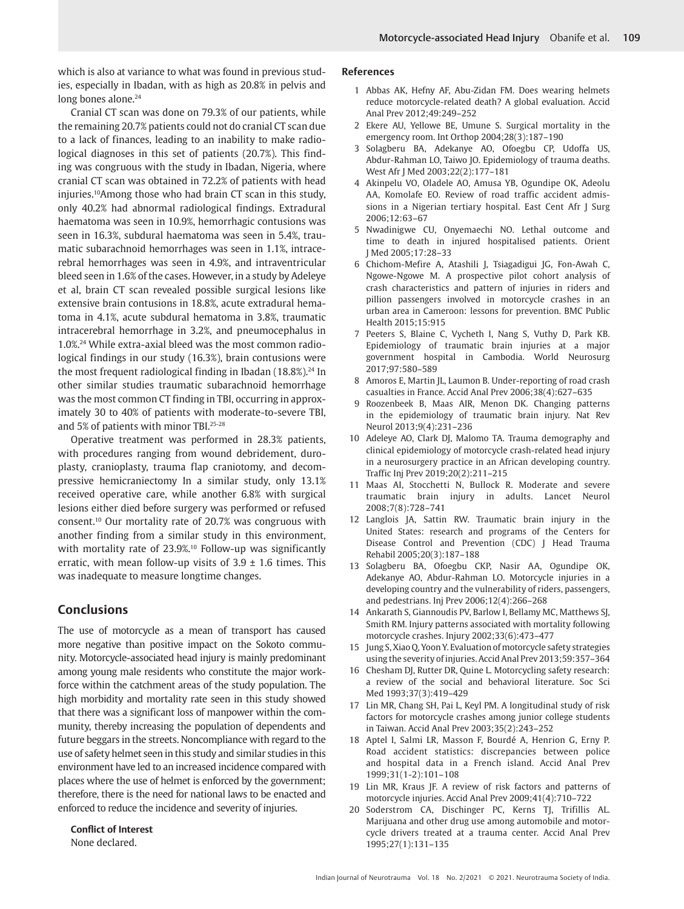which is also at variance to what was found in previous studies, especially in Ibadan, with as high as 20.8% in pelvis and long bones alone.<sup>24</sup>

Cranial CT scan was done on 79.3% of our patients, while the remaining 20.7% patients could not do cranial CT scan due to a lack of finances, leading to an inability to make radiological diagnoses in this set of patients (20.7%). This finding was congruous with the study in Ibadan, Nigeria, where cranial CT scan was obtained in 72.2% of patients with head injuries.10Among those who had brain CT scan in this study, only 40.2% had abnormal radiological findings. Extradural haematoma was seen in 10.9%, hemorrhagic contusions was seen in 16.3%, subdural haematoma was seen in 5.4%, traumatic subarachnoid hemorrhages was seen in 1.1%, intracerebral hemorrhages was seen in 4.9%, and intraventricular bleed seen in 1.6% of the cases. However, in a study by Adeleye et al, brain CT scan revealed possible surgical lesions like extensive brain contusions in 18.8%, acute extradural hematoma in 4.1%, acute subdural hematoma in 3.8%, traumatic intracerebral hemorrhage in 3.2%, and pneumocephalus in 1.0%.24 While extra-axial bleed was the most common radiological findings in our study (16.3%), brain contusions were the most frequent radiological finding in Ibadan  $(18.8\%)^{24}$  In other similar studies traumatic subarachnoid hemorrhage was the most common CT finding in TBI, occurring in approximately 30 to 40% of patients with moderate-to-severe TBI, and 5% of patients with minor TBI.25-28

Operative treatment was performed in 28.3% patients, with procedures ranging from wound debridement, duroplasty, cranioplasty, trauma flap craniotomy, and decompressive hemicraniectomy In a similar study, only 13.1% received operative care, while another 6.8% with surgical lesions either died before surgery was performed or refused consent.10 Our mortality rate of 20.7% was congruous with another finding from a similar study in this environment, with mortality rate of 23.9%.10 Follow-up was significantly erratic, with mean follow-up visits of  $3.9 \pm 1.6$  times. This was inadequate to measure longtime changes.

## **Conclusions**

The use of motorcycle as a mean of transport has caused more negative than positive impact on the Sokoto community. Motorcycle-associated head injury is mainly predominant among young male residents who constitute the major workforce within the catchment areas of the study population. The high morbidity and mortality rate seen in this study showed that there was a significant loss of manpower within the community, thereby increasing the population of dependents and future beggars in the streets. Noncompliance with regard to the use of safety helmet seen in this study and similar studies in this environment have led to an increased incidence compared with places where the use of helmet is enforced by the government; therefore, there is the need for national laws to be enacted and enforced to reduce the incidence and severity of injuries.

**Conflict of Interest**

None declared.

#### **References**

- 1 Abbas AK, Hefny AF, Abu-Zidan FM. Does wearing helmets reduce motorcycle-related death? A global evaluation. Accid Anal Prev 2012;49:249–252
- 2 Ekere AU, Yellowe BE, Umune S. Surgical mortality in the emergency room. Int Orthop 2004;28(3):187–190
- 3 Solagberu BA, Adekanye AO, Ofoegbu CP, Udoffa US, Abdur-Rahman LO, Taiwo JO. Epidemiology of trauma deaths. West Afr J Med 2003;22(2):177–181
- 4 Akinpelu VO, Oladele AO, Amusa YB, Ogundipe OK, Adeolu AA, Komolafe EO. Review of road traffic accident admissions in a Nigerian tertiary hospital. East Cent Afr J Surg 2006;12:63–67
- 5 Nwadinigwe CU, Onyemaechi NO. Lethal outcome and time to death in injured hospitalised patients. Orient J Med 2005;17:28–33
- 6 Chichom-Mefire A, Atashili J, Tsiagadigui JG, Fon-Awah C, Ngowe-Ngowe M. A prospective pilot cohort analysis of crash characteristics and pattern of injuries in riders and pillion passengers involved in motorcycle crashes in an urban area in Cameroon: lessons for prevention. BMC Public Health 2015;15:915
- 7 Peeters S, Blaine C, Vycheth I, Nang S, Vuthy D, Park KB. Epidemiology of traumatic brain injuries at a major government hospital in Cambodia. World Neurosurg 2017;97:580–589
- 8 Amoros E, Martin JL, Laumon B. Under-reporting of road crash casualties in France. Accid Anal Prev 2006;38(4):627–635
- 9 Roozenbeek B, Maas AIR, Menon DK. Changing patterns in the epidemiology of traumatic brain injury. Nat Rev Neurol 2013;9(4):231–236
- 10 Adeleye AO, Clark DJ, Malomo TA. Trauma demography and clinical epidemiology of motorcycle crash-related head injury in a neurosurgery practice in an African developing country. Traffic Inj Prev 2019;20(2):211–215
- 11 Maas AI, Stocchetti N, Bullock R. Moderate and severe traumatic brain injury in adults. Lancet Neurol 2008;7(8):728–741
- 12 Langlois JA, Sattin RW. Traumatic brain injury in the United States: research and programs of the Centers for Disease Control and Prevention (CDC) J Head Trauma Rehabil 2005;20(3):187–188
- 13 Solagberu BA, Ofoegbu CKP, Nasir AA, Ogundipe OK, Adekanye AO, Abdur-Rahman LO. Motorcycle injuries in a developing country and the vulnerability of riders, passengers, and pedestrians. Inj Prev 2006;12(4):266–268
- 14 Ankarath S, Giannoudis PV, Barlow I, Bellamy MC, Matthews SJ, Smith RM. Injury patterns associated with mortality following motorcycle crashes. Injury 2002;33(6):473–477
- 15 Jung S, Xiao Q, Yoon Y. Evaluation of motorcycle safety strategies using the severity of injuries. Accid Anal Prev 2013;59:357–364
- 16 Chesham DJ, Rutter DR, Quine L. Motorcycling safety research: a review of the social and behavioral literature. Soc Sci Med 1993;37(3):419–429
- 17 Lin MR, Chang SH, Pai L, Keyl PM. A longitudinal study of risk factors for motorcycle crashes among junior college students in Taiwan. Accid Anal Prev 2003;35(2):243–252
- 18 Aptel I, Salmi LR, Masson F, Bourdé A, Henrion G, Erny P. Road accident statistics: discrepancies between police and hospital data in a French island. Accid Anal Prev 1999;31(1-2):101–108
- 19 Lin MR, Kraus JF. A review of risk factors and patterns of motorcycle injuries. Accid Anal Prev 2009;41(4):710–722
- 20 Soderstrom CA, Dischinger PC, Kerns TJ, Trifillis AL. Marijuana and other drug use among automobile and motorcycle drivers treated at a trauma center. Accid Anal Prev 1995;27(1):131–135